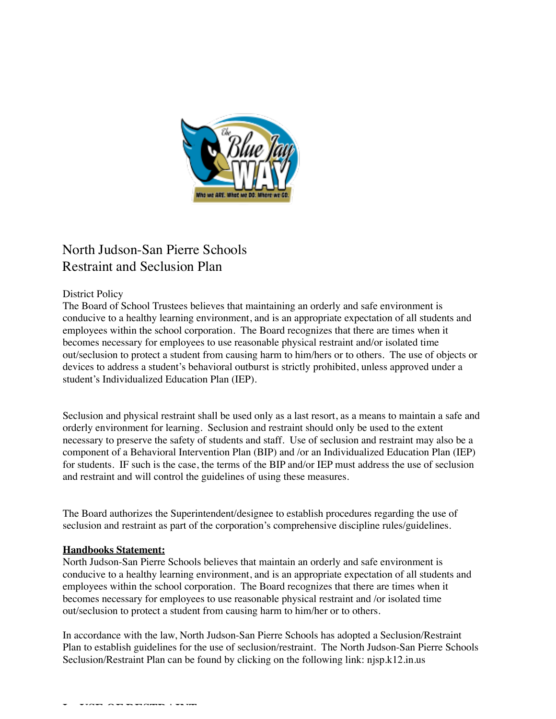

# North Judson-San Pierre Schools Restraint and Seclusion Plan

### District Policy

The Board of School Trustees believes that maintaining an orderly and safe environment is conducive to a healthy learning environment, and is an appropriate expectation of all students and employees within the school corporation. The Board recognizes that there are times when it becomes necessary for employees to use reasonable physical restraint and/or isolated time out/seclusion to protect a student from causing harm to him/hers or to others. The use of objects or devices to address a student's behavioral outburst is strictly prohibited, unless approved under a student's Individualized Education Plan (IEP).

Seclusion and physical restraint shall be used only as a last resort, as a means to maintain a safe and orderly environment for learning. Seclusion and restraint should only be used to the extent necessary to preserve the safety of students and staff. Use of seclusion and restraint may also be a component of a Behavioral Intervention Plan (BIP) and /or an Individualized Education Plan (IEP) for students. IF such is the case, the terms of the BIP and/or IEP must address the use of seclusion and restraint and will control the guidelines of using these measures.

The Board authorizes the Superintendent/designee to establish procedures regarding the use of seclusion and restraint as part of the corporation's comprehensive discipline rules/guidelines.

### **Handbooks Statement:**

North Judson-San Pierre Schools believes that maintain an orderly and safe environment is conducive to a healthy learning environment, and is an appropriate expectation of all students and employees within the school corporation. The Board recognizes that there are times when it becomes necessary for employees to use reasonable physical restraint and /or isolated time out/seclusion to protect a student from causing harm to him/her or to others.

In accordance with the law, North Judson-San Pierre Schools has adopted a Seclusion/Restraint Plan to establish guidelines for the use of seclusion/restraint. The North Judson-San Pierre Schools Seclusion/Restraint Plan can be found by clicking on the following link: njsp.k12.in.us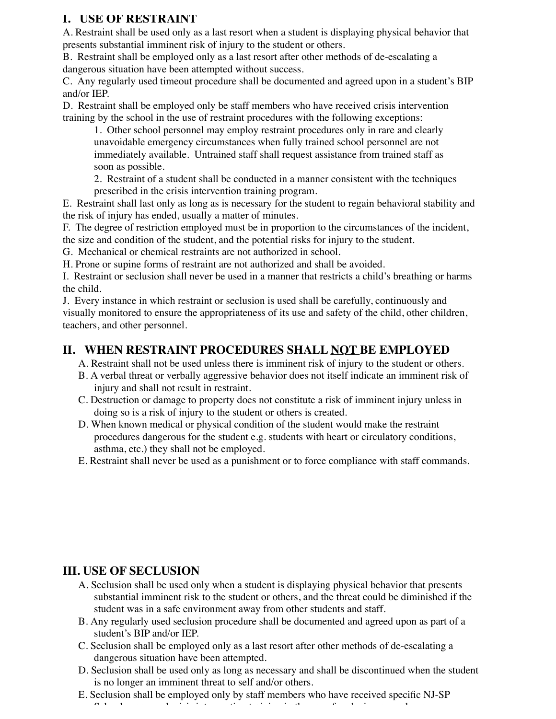# **I. USE OF RESTRAINT**

A. Restraint shall be used only as a last resort when a student is displaying physical behavior that presents substantial imminent risk of injury to the student or others.

B. Restraint shall be employed only as a last resort after other methods of de-escalating a dangerous situation have been attempted without success.

C. Any regularly used timeout procedure shall be documented and agreed upon in a student's BIP and/or IEP.

D. Restraint shall be employed only be staff members who have received crisis intervention training by the school in the use of restraint procedures with the following exceptions:

1. Other school personnel may employ restraint procedures only in rare and clearly unavoidable emergency circumstances when fully trained school personnel are not immediately available. Untrained staff shall request assistance from trained staff as soon as possible.

2. Restraint of a student shall be conducted in a manner consistent with the techniques prescribed in the crisis intervention training program.

E. Restraint shall last only as long as is necessary for the student to regain behavioral stability and the risk of injury has ended, usually a matter of minutes.

F. The degree of restriction employed must be in proportion to the circumstances of the incident, the size and condition of the student, and the potential risks for injury to the student.

G. Mechanical or chemical restraints are not authorized in school.

H. Prone or supine forms of restraint are not authorized and shall be avoided.

I. Restraint or seclusion shall never be used in a manner that restricts a child's breathing or harms the child.

J. Every instance in which restraint or seclusion is used shall be carefully, continuously and visually monitored to ensure the appropriateness of its use and safety of the child, other children, teachers, and other personnel.

# **II. WHEN RESTRAINT PROCEDURES SHALL NOT BE EMPLOYED**

A. Restraint shall not be used unless there is imminent risk of injury to the student or others.

- B. A verbal threat or verbally aggressive behavior does not itself indicate an imminent risk of injury and shall not result in restraint.
- C. Destruction or damage to property does not constitute a risk of imminent injury unless in doing so is a risk of injury to the student or others is created.
- D. When known medical or physical condition of the student would make the restraint procedures dangerous for the student e.g. students with heart or circulatory conditions, asthma, etc.) they shall not be employed.
- E. Restraint shall never be used as a punishment or to force compliance with staff commands.

# **III. USE OF SECLUSION**

- A. Seclusion shall be used only when a student is displaying physical behavior that presents substantial imminent risk to the student or others, and the threat could be diminished if the student was in a safe environment away from other students and staff.
- B. Any regularly used seclusion procedure shall be documented and agreed upon as part of a student's BIP and/or IEP.
- C. Seclusion shall be employed only as a last resort after other methods of de-escalating a dangerous situation have been attempted.
- D. Seclusion shall be used only as long as necessary and shall be discontinued when the student is no longer an imminent threat to self and/or others.
- E. Seclusion shall be employed only by staff members who have received specific NJ-SP Schools approved crisis intervention training in the use of seclusion procedures.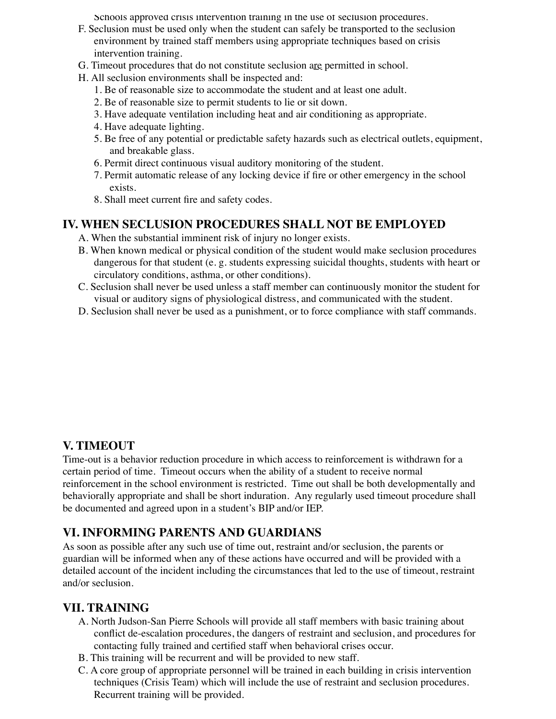Schools approved crisis intervention training in the use of seclusion procedures.

- F. Seclusion must be used only when the student can safely be transported to the seclusion environment by trained staff members using appropriate techniques based on crisis intervention training.
- G. Timeout procedures that do not constitute seclusion are permitted in school.
- H. All seclusion environments shall be inspected and:
	- 1. Be of reasonable size to accommodate the student and at least one adult.
	- 2. Be of reasonable size to permit students to lie or sit down.
	- 3. Have adequate ventilation including heat and air conditioning as appropriate.
	- 4. Have adequate lighting.
	- 5. Be free of any potential or predictable safety hazards such as electrical outlets, equipment, and breakable glass.
	- 6. Permit direct continuous visual auditory monitoring of the student.
	- 7. Permit automatic release of any locking device if fire or other emergency in the school exists.
	- 8. Shall meet current fire and safety codes.

# **IV. WHEN SECLUSION PROCEDURES SHALL NOT BE EMPLOYED**

- A. When the substantial imminent risk of injury no longer exists.
- B. When known medical or physical condition of the student would make seclusion procedures dangerous for that student (e. g. students expressing suicidal thoughts, students with heart or circulatory conditions, asthma, or other conditions).
- C. Seclusion shall never be used unless a staff member can continuously monitor the student for visual or auditory signs of physiological distress, and communicated with the student.
- D. Seclusion shall never be used as a punishment, or to force compliance with staff commands.

# **V. TIMEOUT**

Time-out is a behavior reduction procedure in which access to reinforcement is withdrawn for a certain period of time. Timeout occurs when the ability of a student to receive normal reinforcement in the school environment is restricted. Time out shall be both developmentally and behaviorally appropriate and shall be short induration. Any regularly used timeout procedure shall be documented and agreed upon in a student's BIP and/or IEP.

# **VI. INFORMING PARENTS AND GUARDIANS**

As soon as possible after any such use of time out, restraint and/or seclusion, the parents or guardian will be informed when any of these actions have occurred and will be provided with a detailed account of the incident including the circumstances that led to the use of timeout, restraint and/or seclusion.

# **VII. TRAINING**

- A. North Judson-San Pierre Schools will provide all staff members with basic training about conflict de-escalation procedures, the dangers of restraint and seclusion, and procedures for contacting fully trained and certified staff when behavioral crises occur.
- B. This training will be recurrent and will be provided to new staff.
- C. A core group of appropriate personnel will be trained in each building in crisis intervention techniques (Crisis Team) which will include the use of restraint and seclusion procedures. Recurrent training will be provided.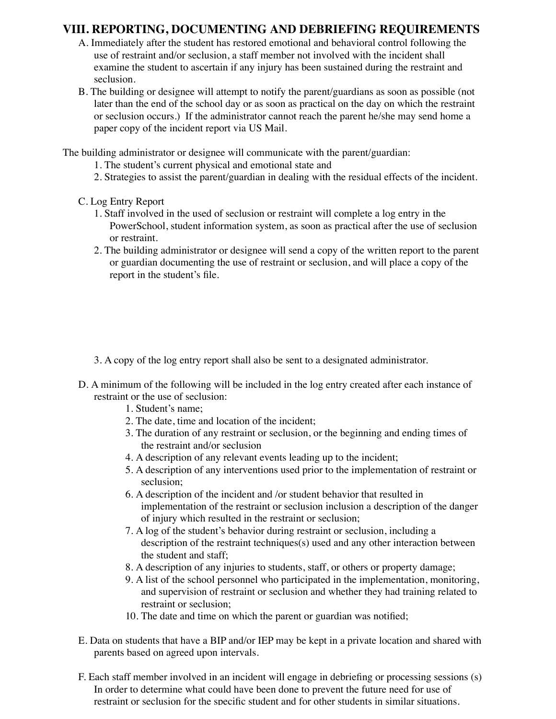# **VIII. REPORTING, DOCUMENTING AND DEBRIEFING REQUIREMENTS**

- A. Immediately after the student has restored emotional and behavioral control following the use of restraint and/or seclusion, a staff member not involved with the incident shall examine the student to ascertain if any injury has been sustained during the restraint and seclusion.
- B. The building or designee will attempt to notify the parent/guardians as soon as possible (not later than the end of the school day or as soon as practical on the day on which the restraint or seclusion occurs.) If the administrator cannot reach the parent he/she may send home a paper copy of the incident report via US Mail.

The building administrator or designee will communicate with the parent/guardian:

- 1. The student's current physical and emotional state and
- 2. Strategies to assist the parent/guardian in dealing with the residual effects of the incident.

C. Log Entry Report

- 1. Staff involved in the used of seclusion or restraint will complete a log entry in the PowerSchool, student information system, as soon as practical after the use of seclusion or restraint.
- 2. The building administrator or designee will send a copy of the written report to the parent or guardian documenting the use of restraint or seclusion, and will place a copy of the report in the student's file.

- 3. A copy of the log entry report shall also be sent to a designated administrator.
- D. A minimum of the following will be included in the log entry created after each instance of restraint or the use of seclusion:
	- 1. Student's name;
	- 2. The date, time and location of the incident;
	- 3. The duration of any restraint or seclusion, or the beginning and ending times of the restraint and/or seclusion
	- 4. A description of any relevant events leading up to the incident;
	- 5. A description of any interventions used prior to the implementation of restraint or seclusion;
	- 6. A description of the incident and /or student behavior that resulted in implementation of the restraint or seclusion inclusion a description of the danger of injury which resulted in the restraint or seclusion;
	- 7. A log of the student's behavior during restraint or seclusion, including a description of the restraint techniques(s) used and any other interaction between the student and staff;
	- 8. A description of any injuries to students, staff, or others or property damage;
	- 9. A list of the school personnel who participated in the implementation, monitoring, and supervision of restraint or seclusion and whether they had training related to restraint or seclusion;
	- 10. The date and time on which the parent or guardian was notified;
- E. Data on students that have a BIP and/or IEP may be kept in a private location and shared with parents based on agreed upon intervals.
- F. Each staff member involved in an incident will engage in debriefing or processing sessions (s) In order to determine what could have been done to prevent the future need for use of restraint or seclusion for the specific student and for other students in similar situations.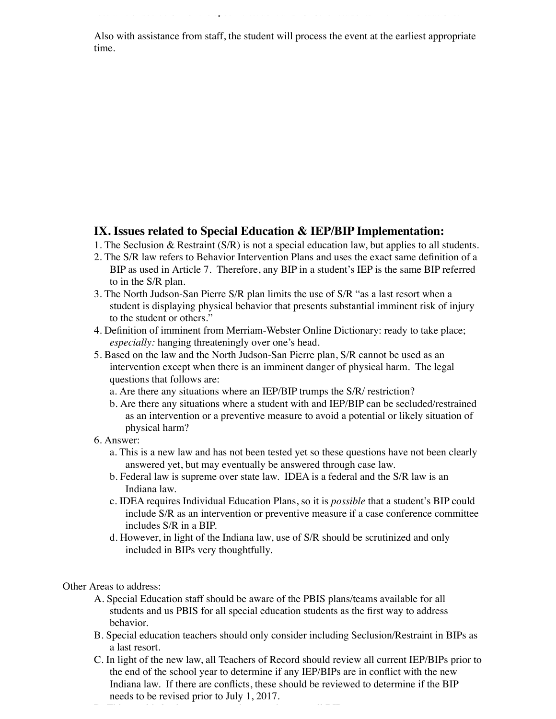Also with assistance from staff, the student will process the event at the earliest appropriate time.

restraint or seclusion for the specific student and for other students in similar situations.

### **IX. Issues related to Special Education & IEP/BIP Implementation:**

- 1. The Seclusion & Restraint (S/R) is not a special education law, but applies to all students.
- 2. The S/R law refers to Behavior Intervention Plans and uses the exact same definition of a BIP as used in Article 7. Therefore, any BIP in a student's IEP is the same BIP referred to in the S/R plan.
- 3. The North Judson-San Pierre S/R plan limits the use of S/R "as a last resort when a student is displaying physical behavior that presents substantial imminent risk of injury to the student or others."
- 4. Definition of imminent from Merriam-Webster Online Dictionary: ready to take place; *especially:* hanging threateningly over one's head.
- 5. Based on the law and the North Judson-San Pierre plan, S/R cannot be used as an intervention except when there is an imminent danger of physical harm. The legal questions that follows are:
	- a. Are there any situations where an IEP/BIP trumps the S/R/ restriction?
	- b. Are there any situations where a student with and IEP/BIP can be secluded/restrained as an intervention or a preventive measure to avoid a potential or likely situation of physical harm?
- 6. Answer:
	- a. This is a new law and has not been tested yet so these questions have not been clearly answered yet, but may eventually be answered through case law.
	- b. Federal law is supreme over state law. IDEA is a federal and the S/R law is an Indiana law.
	- c. IDEA requires Individual Education Plans, so it is *possible* that a student's BIP could include S/R as an intervention or preventive measure if a case conference committee includes S/R in a BIP.
	- d. However, in light of the Indiana law, use of S/R should be scrutinized and only included in BIPs very thoughtfully.

Other Areas to address:

A. Special Education staff should be aware of the PBIS plans/teams available for all students and us PBIS for all special education students as the first way to address behavior.

D. This would also be an opportunity to makes sure all BIPs:

- B. Special education teachers should only consider including Seclusion/Restraint in BIPs as a last resort.
- C. In light of the new law, all Teachers of Record should review all current IEP/BIPs prior to the end of the school year to determine if any IEP/BIPs are in conflict with the new Indiana law. If there are conflicts, these should be reviewed to determine if the BIP needs to be revised prior to July 1, 2017.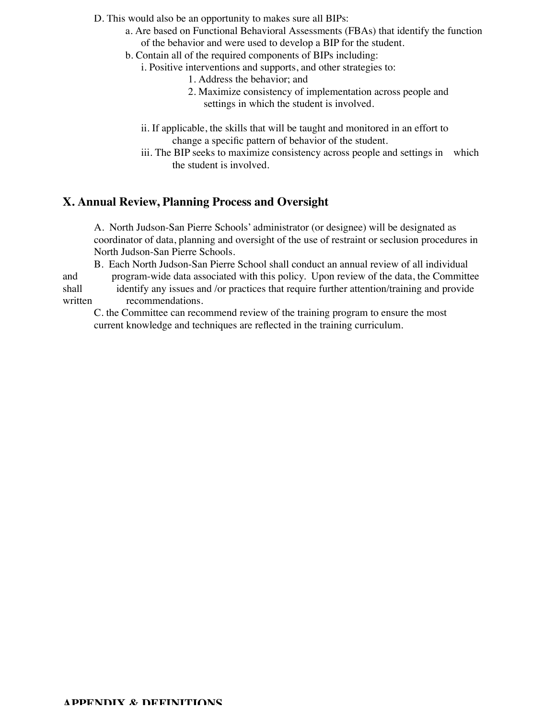D. This would also be an opportunity to makes sure all BIPs:

- a. Are based on Functional Behavioral Assessments (FBAs) that identify the function of the behavior and were used to develop a BIP for the student.
- b. Contain all of the required components of BIPs including:
	- i. Positive interventions and supports, and other strategies to:
		- 1. Address the behavior; and
		- 2. Maximize consistency of implementation across people and settings in which the student is involved.
	- ii. If applicable, the skills that will be taught and monitored in an effort to change a specific pattern of behavior of the student.
	- iii. The BIP seeks to maximize consistency across people and settings in which the student is involved.

## **X. Annual Review, Planning Process and Oversight**

A. North Judson-San Pierre Schools' administrator (or designee) will be designated as coordinator of data, planning and oversight of the use of restraint or seclusion procedures in North Judson-San Pierre Schools.

B. Each North Judson-San Pierre School shall conduct an annual review of all individual

and program-wide data associated with this policy. Upon review of the data, the Committee shall identify any issues and /or practices that require further attention/training and provide

written recommendations.

C. the Committee can recommend review of the training program to ensure the most current knowledge and techniques are reflected in the training curriculum.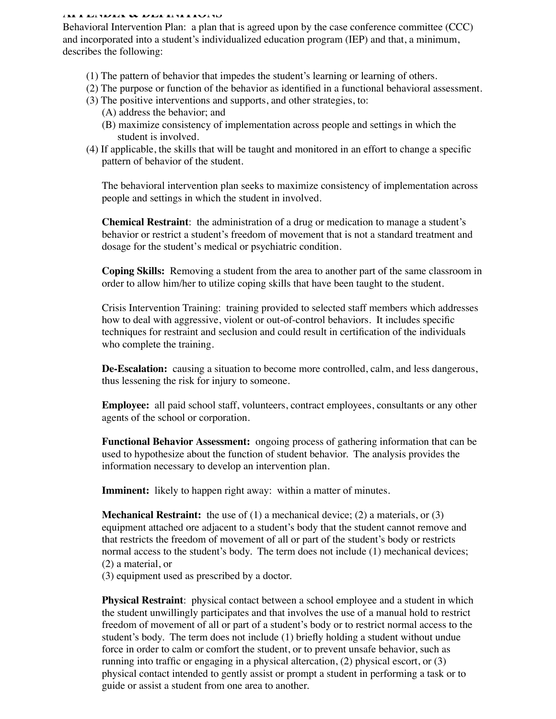#### **APPENDIX & DEFINITIONS**

Behavioral Intervention Plan: a plan that is agreed upon by the case conference committee (CCC) and incorporated into a student's individualized education program (IEP) and that, a minimum, describes the following:

- (1) The pattern of behavior that impedes the student's learning or learning of others.
- (2) The purpose or function of the behavior as identified in a functional behavioral assessment.
- (3) The positive interventions and supports, and other strategies, to:
	- (A) address the behavior; and
	- (B) maximize consistency of implementation across people and settings in which the student is involved.
- (4) If applicable, the skills that will be taught and monitored in an effort to change a specific pattern of behavior of the student.

The behavioral intervention plan seeks to maximize consistency of implementation across people and settings in which the student in involved.

**Chemical Restraint**: the administration of a drug or medication to manage a student's behavior or restrict a student's freedom of movement that is not a standard treatment and dosage for the student's medical or psychiatric condition.

**Coping Skills:** Removing a student from the area to another part of the same classroom in order to allow him/her to utilize coping skills that have been taught to the student.

Crisis Intervention Training: training provided to selected staff members which addresses how to deal with aggressive, violent or out-of-control behaviors. It includes specific techniques for restraint and seclusion and could result in certification of the individuals who complete the training.

**De-Escalation:** causing a situation to become more controlled, calm, and less dangerous, thus lessening the risk for injury to someone.

**Employee:** all paid school staff, volunteers, contract employees, consultants or any other agents of the school or corporation.

**Functional Behavior Assessment:** ongoing process of gathering information that can be used to hypothesize about the function of student behavior. The analysis provides the information necessary to develop an intervention plan.

**Imminent:** likely to happen right away: within a matter of minutes.

**Mechanical Restraint:** the use of (1) a mechanical device; (2) a materials, or (3) equipment attached ore adjacent to a student's body that the student cannot remove and that restricts the freedom of movement of all or part of the student's body or restricts normal access to the student's body. The term does not include (1) mechanical devices; (2) a material, or

(3) equipment used as prescribed by a doctor.

**Physical Restraint:** physical contact between a school employee and a student in which the student unwillingly participates and that involves the use of a manual hold to restrict freedom of movement of all or part of a student's body or to restrict normal access to the student's body. The term does not include (1) briefly holding a student without undue force in order to calm or comfort the student, or to prevent unsafe behavior, such as running into traffic or engaging in a physical altercation, (2) physical escort, or (3) physical contact intended to gently assist or prompt a student in performing a task or to guide or assist a student from one area to another.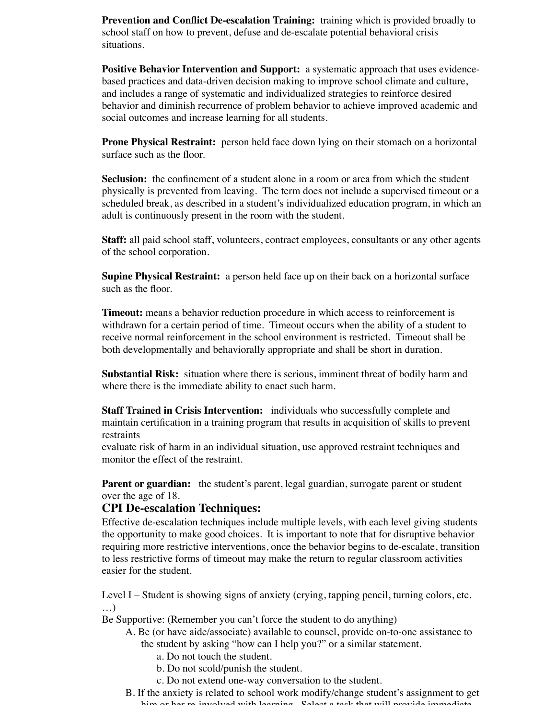**Prevention and Conflict De-escalation Training:** training which is provided broadly to school staff on how to prevent, defuse and de-escalate potential behavioral crisis situations.

**Positive Behavior Intervention and Support:** a systematic approach that uses evidencebased practices and data-driven decision making to improve school climate and culture, and includes a range of systematic and individualized strategies to reinforce desired behavior and diminish recurrence of problem behavior to achieve improved academic and social outcomes and increase learning for all students.

**Prone Physical Restraint:** person held face down lying on their stomach on a horizontal surface such as the floor.

**Seclusion:** the confinement of a student alone in a room or area from which the student physically is prevented from leaving. The term does not include a supervised timeout or a scheduled break, as described in a student's individualized education program, in which an adult is continuously present in the room with the student.

**Staff:** all paid school staff, volunteers, contract employees, consultants or any other agents of the school corporation.

**Supine Physical Restraint:** a person held face up on their back on a horizontal surface such as the floor.

**Timeout:** means a behavior reduction procedure in which access to reinforcement is withdrawn for a certain period of time. Timeout occurs when the ability of a student to receive normal reinforcement in the school environment is restricted. Timeout shall be both developmentally and behaviorally appropriate and shall be short in duration.

**Substantial Risk:** situation where there is serious, imminent threat of bodily harm and where there is the immediate ability to enact such harm.

**Staff Trained in Crisis Intervention:** individuals who successfully complete and maintain certification in a training program that results in acquisition of skills to prevent restraints

evaluate risk of harm in an individual situation, use approved restraint techniques and monitor the effect of the restraint.

**Parent or guardian:** the student's parent, legal guardian, surrogate parent or student over the age of 18.

### **CPI De-escalation Techniques:**

Effective de-escalation techniques include multiple levels, with each level giving students the opportunity to make good choices. It is important to note that for disruptive behavior requiring more restrictive interventions, once the behavior begins to de-escalate, transition to less restrictive forms of timeout may make the return to regular classroom activities easier for the student.

Level I – Student is showing signs of anxiety (crying, tapping pencil, turning colors, etc. …)

Be Supportive: (Remember you can't force the student to do anything)

- A. Be (or have aide/associate) available to counsel, provide on-to-one assistance to the student by asking "how can I help you?" or a similar statement.
	- a. Do not touch the student.
	- b. Do not scold/punish the student.
	- c. Do not extend one-way conversation to the student.
- B. If the anxiety is related to school work modify/change student's assignment to get him or her re-involved with learning. Select a task that will provide immediate